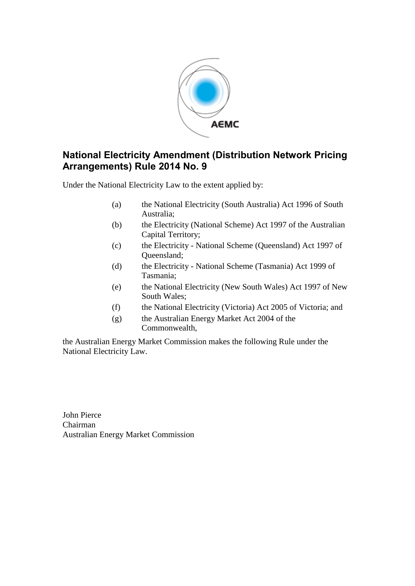

## **National Electricity Amendment (Distribution Network Pricing Arrangements) Rule 2014 No. 9**

Under the National Electricity Law to the extent applied by:

- (a) the National Electricity (South Australia) Act 1996 of South Australia;
- (b) the Electricity (National Scheme) Act 1997 of the Australian Capital Territory;
- (c) the Electricity National Scheme (Queensland) Act 1997 of Queensland;
- (d) the Electricity National Scheme (Tasmania) Act 1999 of Tasmania;
- (e) the National Electricity (New South Wales) Act 1997 of New South Wales;
- (f) the National Electricity (Victoria) Act 2005 of Victoria; and
- (g) the Australian Energy Market Act 2004 of the Commonwealth,

the Australian Energy Market Commission makes the following Rule under the National Electricity Law.

John Pierce Chairman Australian Energy Market Commission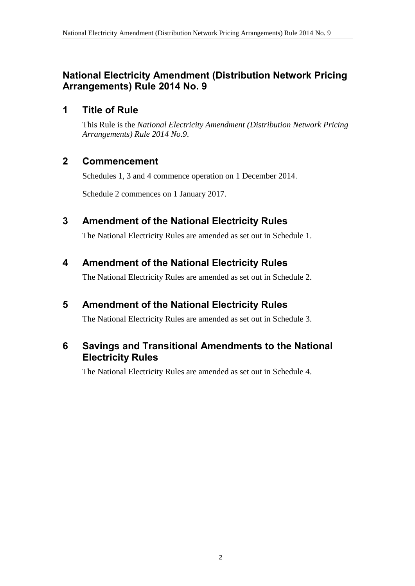## **National Electricity Amendment (Distribution Network Pricing Arrangements) Rule 2014 No. 9**

### **1 Title of Rule**

This Rule is the *National Electricity Amendment (Distribution Network Pricing Arrangements) Rule 2014 No.9*.

### **2 Commencement**

Schedules 1, 3 and 4 commence operation on 1 December 2014.

Schedule 2 commences on 1 January 2017.

### <span id="page-1-0"></span>**3 Amendment of the National Electricity Rules**

The National Electricity Rules are amended as set out in [Schedule 1.](#page-2-0)

### <span id="page-1-1"></span>**4 Amendment of the National Electricity Rules**

The National Electricity Rules are amended as set out in [Schedule 2.](#page-17-0)

## <span id="page-1-2"></span>**5 Amendment of the National Electricity Rules**

The National Electricity Rules are amended as set out in [Schedule 3.](#page-18-0)

### **6 Savings and Transitional Amendments to the National Electricity Rules**

The National Electricity Rules are amended as set out in [Schedule 4.](#page-17-0)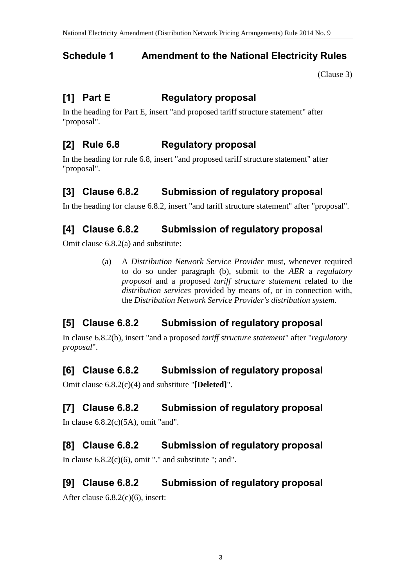# <span id="page-2-0"></span>**Schedule 1 Amendment to the National Electricity Rules**

(Clause 3)

# **[1] Part E Regulatory proposal**

In the heading for Part E, insert "and proposed tariff structure statement" after "proposal".

# **[2] Rule 6.8 Regulatory proposal**

In the heading for rule 6.8, insert "and proposed tariff structure statement" after "proposal".

# **[3] Clause 6.8.2 Submission of regulatory proposal**

In the heading for clause 6.8.2, insert "and tariff structure statement" after "proposal".

## **[4] Clause 6.8.2 Submission of regulatory proposal**

Omit clause 6.8.2(a) and substitute:

(a) A *Distribution Network Service Provider* must, whenever required to do so under paragraph (b), submit to the *AER* a *regulatory proposal* and a proposed *tariff structure statement* related to the *distribution services* provided by means of, or in connection with, the *Distribution Network Service Provider's distribution system*.

# **[5] Clause 6.8.2 Submission of regulatory proposal**

In clause 6.8.2(b), insert "and a proposed *tariff structure statement*" after "*regulatory proposal*".

## **[6] Clause 6.8.2 Submission of regulatory proposal**

Omit clause 6.8.2(c)(4) and substitute "**[Deleted]**".

# **[7] Clause 6.8.2 Submission of regulatory proposal**

In clause  $6.8.2(c)(5A)$ , omit "and".

# **[8] Clause 6.8.2 Submission of regulatory proposal**

In clause  $6.8.2(c)(6)$ , omit "." and substitute "; and".

## **[9] Clause 6.8.2 Submission of regulatory proposal**

After clause 6.8.2(c)(6), insert: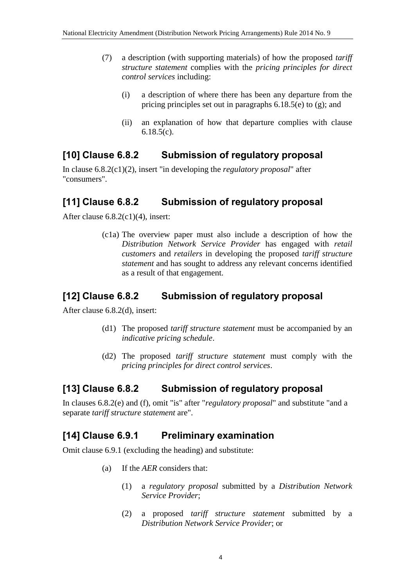- (7) a description (with supporting materials) of how the proposed *tariff structure statement* complies with the *pricing principles for direct control services* including:
	- (i) a description of where there has been any departure from the pricing principles set out in paragraphs 6.18.5(e) to (g); and
	- (ii) an explanation of how that departure complies with clause 6.18.5(c).

## **[10] Clause 6.8.2 Submission of regulatory proposal**

In clause 6.8.2(c1)(2), insert "in developing the *regulatory proposal*" after "consumers".

## **[11] Clause 6.8.2 Submission of regulatory proposal**

After clause 6.8.2(c1)(4), insert:

(c1a) The overview paper must also include a description of how the *Distribution Network Service Provider* has engaged with *retail customers* and *retailers* in developing the proposed *tariff structure statement* and has sought to address any relevant concerns identified as a result of that engagement.

## **[12] Clause 6.8.2 Submission of regulatory proposal**

After clause 6.8.2(d), insert:

- (d1) The proposed *tariff structure statement* must be accompanied by an *indicative pricing schedule*.
- (d2) The proposed *tariff structure statement* must comply with the *pricing principles for direct control services*.

## **[13] Clause 6.8.2 Submission of regulatory proposal**

In clauses 6.8.2(e) and (f), omit "is" after "*regulatory proposal*" and substitute "and a separate *tariff structure statement* are".

### **[14] Clause 6.9.1 Preliminary examination**

Omit clause 6.9.1 (excluding the heading) and substitute:

- (a) If the *AER* considers that:
	- (1) a *regulatory proposal* submitted by a *Distribution Network Service Provider*;
	- (2) a proposed *tariff structure statement* submitted by a *Distribution Network Service Provider*; or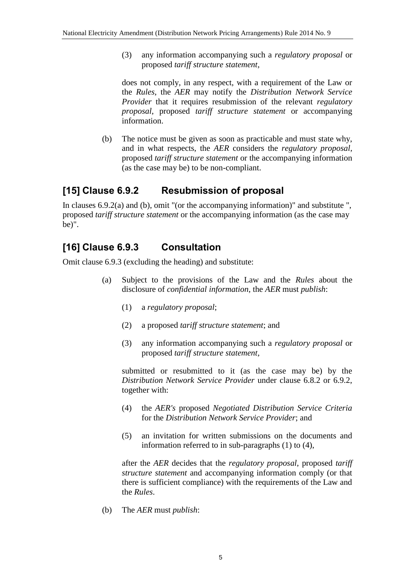(3) any information accompanying such a *regulatory proposal* or proposed *tariff structure statement*,

does not comply, in any respect, with a requirement of the Law or the *Rules*, the *AER* may notify the *Distribution Network Service Provider* that it requires resubmission of the relevant *regulatory proposal*, proposed *tariff structure statement* or accompanying information.

(b) The notice must be given as soon as practicable and must state why, and in what respects, the *AER* considers the *regulatory proposal*, proposed *tariff structure statement* or the accompanying information (as the case may be) to be non-compliant.

## **[15] Clause 6.9.2 Resubmission of proposal**

In clauses 6.9.2(a) and (b), omit "(or the accompanying information)" and substitute ", proposed *tariff structure statement* or the accompanying information (as the case may be)".

# **[16] Clause 6.9.3 Consultation**

Omit clause 6.9.3 (excluding the heading) and substitute:

- (a) Subject to the provisions of the Law and the *Rules* about the disclosure of *confidential information*, the *AER* must *publish*:
	- (1) a *regulatory proposal*;
	- (2) a proposed *tariff structure statement*; and
	- (3) any information accompanying such a *regulatory proposal* or proposed *tariff structure statement*,

submitted or resubmitted to it (as the case may be) by the *Distribution Network Service Provider* under clause 6.8.2 or 6.9.2, together with:

- (4) the *AER's* proposed *Negotiated Distribution Service Criteria* for the *Distribution Network Service Provider*; and
- (5) an invitation for written submissions on the documents and information referred to in sub-paragraphs (1) to (4),

after the *AER* decides that the *regulatory proposal*, proposed *tariff structure statement* and accompanying information comply (or that there is sufficient compliance) with the requirements of the Law and the *Rules*.

(b) The *AER* must *publish*: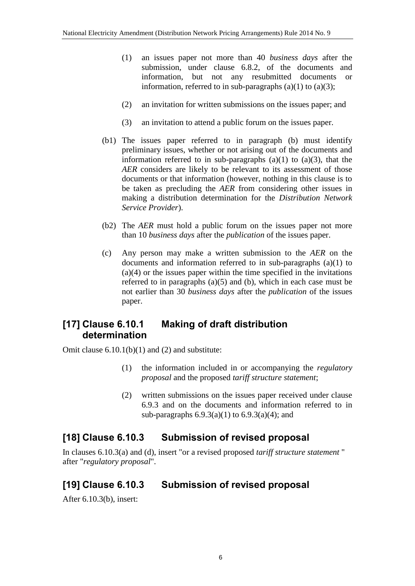- (1) an issues paper not more than 40 *business days* after the submission, under clause 6.8.2, of the documents and information, but not any resubmitted documents or information, referred to in sub-paragraphs  $(a)(1)$  to  $(a)(3)$ ;
- (2) an invitation for written submissions on the issues paper; and
- (3) an invitation to attend a public forum on the issues paper.
- (b1) The issues paper referred to in paragraph (b) must identify preliminary issues, whether or not arising out of the documents and information referred to in sub-paragraphs  $(a)(1)$  to  $(a)(3)$ , that the *AER* considers are likely to be relevant to its assessment of those documents or that information (however, nothing in this clause is to be taken as precluding the *AER* from considering other issues in making a distribution determination for the *Distribution Network Service Provider*).
- (b2) The *AER* must hold a public forum on the issues paper not more than 10 *business days* after the *publication* of the issues paper.
- (c) Any person may make a written submission to the *AER* on the documents and information referred to in sub-paragraphs (a)(1) to (a)(4) or the issues paper within the time specified in the invitations referred to in paragraphs (a)(5) and (b), which in each case must be not earlier than 30 *business days* after the *publication* of the issues paper.

## **[17] Clause 6.10.1 Making of draft distribution determination**

Omit clause  $6.10.1(b)(1)$  and (2) and substitute:

- (1) the information included in or accompanying the *regulatory proposal* and the proposed *tariff structure statement*;
- (2) written submissions on the issues paper received under clause 6.9.3 and on the documents and information referred to in sub-paragraphs 6.9.3(a)(1) to 6.9.3(a)(4); and

### **[18] Clause 6.10.3 Submission of revised proposal**

In clauses 6.10.3(a) and (d), insert "or a revised proposed *tariff structure statement* " after "*regulatory proposal*".

# **[19] Clause 6.10.3 Submission of revised proposal**

After 6.10.3(b), insert: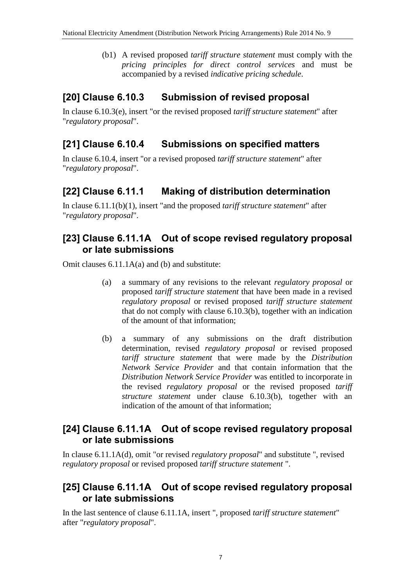(b1) A revised proposed *tariff structure statement* must comply with the *pricing principles for direct control services* and must be accompanied by a revised *indicative pricing schedule*.

## **[20] Clause 6.10.3 Submission of revised proposal**

In clause 6.10.3(e), insert "or the revised proposed *tariff structure statement*" after "*regulatory proposal*".

## **[21] Clause 6.10.4 Submissions on specified matters**

In clause 6.10.4, insert "or a revised proposed *tariff structure statement*" after "*regulatory proposal*".

## **[22] Clause 6.11.1 Making of distribution determination**

In clause 6.11.1(b)(1), insert "and the proposed *tariff structure statement*" after "*regulatory proposal*".

### **[23] Clause 6.11.1A Out of scope revised regulatory proposal or late submissions**

Omit clauses 6.11.1A(a) and (b) and substitute:

- (a) a summary of any revisions to the relevant *regulatory proposal* or proposed *tariff structure statement* that have been made in a revised *regulatory proposal* or revised proposed *tariff structure statement* that do not comply with clause 6.10.3(b), together with an indication of the amount of that information;
- (b) a summary of any submissions on the draft distribution determination, revised *regulatory proposal* or revised proposed *tariff structure statement* that were made by the *Distribution Network Service Provider* and that contain information that the *Distribution Network Service Provider* was entitled to incorporate in the revised *regulatory proposal* or the revised proposed *tariff structure statement* under clause 6.10.3(b), together with an indication of the amount of that information;

### **[24] Clause 6.11.1A Out of scope revised regulatory proposal or late submissions**

In clause 6.11.1A(d), omit "or revised *regulatory proposal*" and substitute ", revised *regulatory proposal* or revised proposed *tariff structure statement* ".

### **[25] Clause 6.11.1A Out of scope revised regulatory proposal or late submissions**

In the last sentence of clause 6.11.1A, insert ", proposed *tariff structure statement*" after "*regulatory proposal*".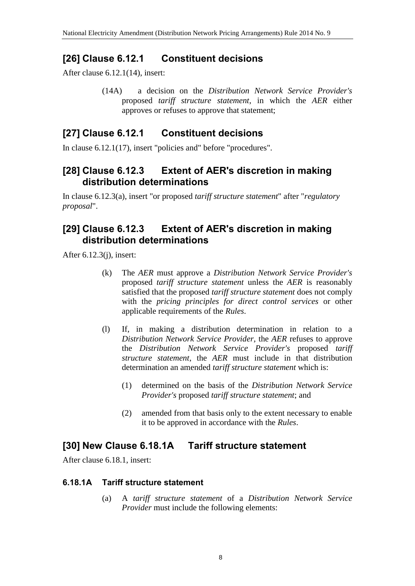## **[26] Clause 6.12.1 Constituent decisions**

After clause 6.12.1(14), insert:

(14A) a decision on the *Distribution Network Service Provider's* proposed *tariff structure statement*, in which the *AER* either approves or refuses to approve that statement;

### **[27] Clause 6.12.1 Constituent decisions**

In clause 6.12.1(17), insert "policies and" before "procedures".

### **[28] Clause 6.12.3 Extent of AER's discretion in making distribution determinations**

In clause 6.12.3(a), insert "or proposed *tariff structure statement*" after "*regulatory proposal*".

### **[29] Clause 6.12.3 Extent of AER's discretion in making distribution determinations**

After 6.12.3(j), insert:

- (k) The *AER* must approve a *Distribution Network Service Provider's* proposed *tariff structure statement* unless the *AER* is reasonably satisfied that the proposed *tariff structure statement* does not comply with the *pricing principles for direct control services* or other applicable requirements of the *Rules*.
- (l) If, in making a distribution determination in relation to a *Distribution Network Service Provider*, the *AER* refuses to approve the *Distribution Network Service Provider's* proposed *tariff structure statement*, the *AER* must include in that distribution determination an amended *tariff structure statement* which is:
	- (1) determined on the basis of the *Distribution Network Service Provider's* proposed *tariff structure statement*; and
	- (2) amended from that basis only to the extent necessary to enable it to be approved in accordance with the *Rules*.

## **[30] New Clause 6.18.1A Tariff structure statement**

After clause 6.18.1, insert:

#### **6.18.1A Tariff structure statement**

(a) A *tariff structure statement* of a *Distribution Network Service Provider* must include the following elements: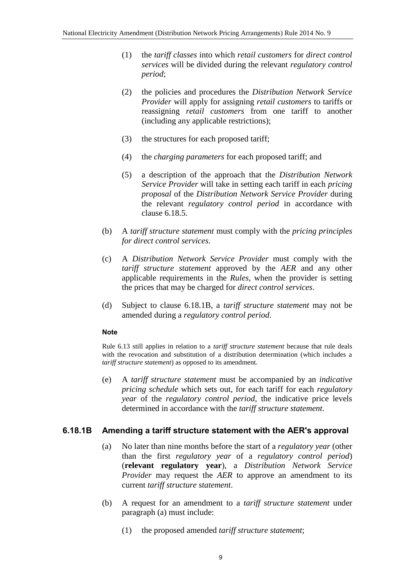- (1) the *tariff classes* into which *retail customers* for *direct control services* will be divided during the relevant *regulatory control period*;
- (2) the policies and procedures the *Distribution Network Service Provider* will apply for assigning *retail customers* to tariffs or reassigning *retail customers* from one tariff to another (including any applicable restrictions);
- (3) the structures for each proposed tariff;
- (4) the *charging parameters* for each proposed tariff; and
- (5) a description of the approach that the *Distribution Network Service Provider* will take in setting each tariff in each *pricing proposal* of the *Distribution Network Service Provider* during the relevant *regulatory control period* in accordance with clause 6.18.5.
- (b) A *tariff structure statement* must comply with the *pricing principles for direct control services*.
- (c) A *Distribution Network Service Provider* must comply with the *tariff structure statement* approved by the *AER* and any other applicable requirements in the *Rules*, when the provider is setting the prices that may be charged for *direct control services*.
- (d) Subject to clause 6.18.1B, a *tariff structure statement* may not be amended during a *regulatory control period*.

#### **Note**

Rule 6.13 still applies in relation to a *tariff structure statement* because that rule deals with the revocation and substitution of a distribution determination (which includes a *tariff structure statement*) as opposed to its amendment.

(e) A *tariff structure statement* must be accompanied by an *indicative pricing schedule* which sets out, for each tariff for each *regulatory year* of the *regulatory control period*, the indicative price levels determined in accordance with the *tariff structure statement*.

#### **6.18.1B Amending a tariff structure statement with the AER's approval**

- (a) No later than nine months before the start of a *regulatory year* (other than the first *regulatory year* of a *regulatory control period*) (**relevant regulatory year**), a *Distribution Network Service Provider* may request the *AER* to approve an amendment to its current *tariff structure statement*.
- (b) A request for an amendment to a *tariff structure statement* under paragraph (a) must include:
	- (1) the proposed amended *tariff structure statement*;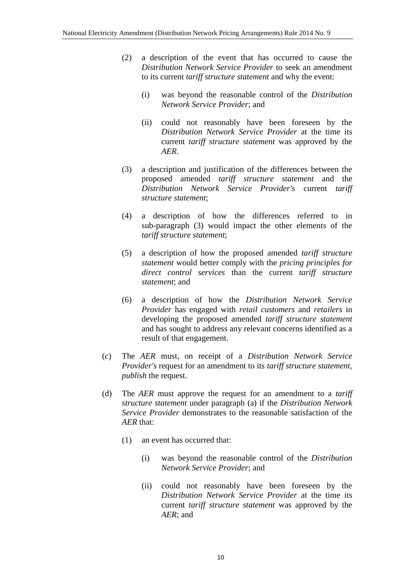- (2) a description of the event that has occurred to cause the *Distribution Network Service Provider* to seek an amendment to its current *tariff structure statement* and why the event:
	- (i) was beyond the reasonable control of the *Distribution Network Service Provider*; and
	- (ii) could not reasonably have been foreseen by the *Distribution Network Service Provider* at the time its current *tariff structure statement* was approved by the *AER*.
- (3) a description and justification of the differences between the proposed amended *tariff structure statement* and the *Distribution Network Service Provider's* current *tariff structure statement*;
- (4) a description of how the differences referred to in sub-paragraph (3) would impact the other elements of the *tariff structure statement*;
- (5) a description of how the proposed amended *tariff structure statement* would better comply with the *pricing principles for direct control services* than the current *tariff structure statement*; and
- (6) a description of how the *Distribution Network Service Provider* has engaged with *retail customers* and *retailers* in developing the proposed amended *tariff structure statement* and has sought to address any relevant concerns identified as a result of that engagement.
- (c) The *AER* must, on receipt of a *Distribution Network Service Provider's* request for an amendment to its *tariff structure statement*, *publish* the request.
- (d) The *AER* must approve the request for an amendment to a *tariff structure statement* under paragraph (a) if the *Distribution Network Service Provider* demonstrates to the reasonable satisfaction of the *AER* that:
	- (1) an event has occurred that:
		- (i) was beyond the reasonable control of the *Distribution Network Service Provider*; and
		- (ii) could not reasonably have been foreseen by the *Distribution Network Service Provider* at the time its current *tariff structure statement* was approved by the *AER*; and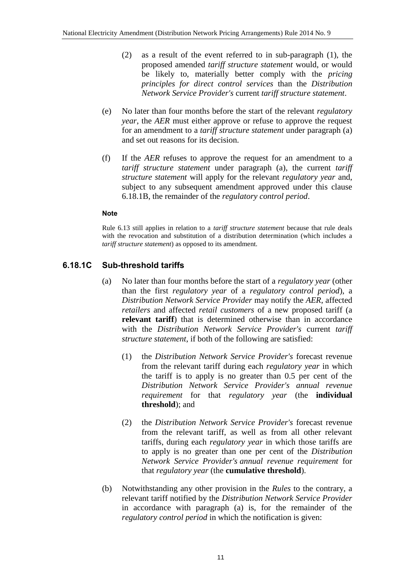- (2) as a result of the event referred to in sub-paragraph (1), the proposed amended *tariff structure statement* would, or would be likely to, materially better comply with the *pricing principles for direct control services* than the *Distribution Network Service Provider's* current *tariff structure statement*.
- (e) No later than four months before the start of the relevant *regulatory year*, the *AER* must either approve or refuse to approve the request for an amendment to a *tariff structure statement* under paragraph (a) and set out reasons for its decision.
- (f) If the *AER* refuses to approve the request for an amendment to a *tariff structure statement* under paragraph (a), the current *tariff structure statement* will apply for the relevant *regulatory year* and, subject to any subsequent amendment approved under this clause 6.18.1B, the remainder of the *regulatory control period*.

#### **Note**

Rule 6.13 still applies in relation to a *tariff structure statement* because that rule deals with the revocation and substitution of a distribution determination (which includes a *tariff structure statement*) as opposed to its amendment.

#### **6.18.1C Sub-threshold tariffs**

- (a) No later than four months before the start of a *regulatory year* (other than the first *regulatory year* of a *regulatory control period*), a *Distribution Network Service Provider* may notify the *AER*, affected *retailers* and affected *retail customers* of a new proposed tariff (a **relevant tariff**) that is determined otherwise than in accordance with the *Distribution Network Service Provider's* current *tariff structure statement*, if both of the following are satisfied:
	- (1) the *Distribution Network Service Provider's* forecast revenue from the relevant tariff during each *regulatory year* in which the tariff is to apply is no greater than 0.5 per cent of the *Distribution Network Service Provider's annual revenue requirement* for that *regulatory year* (the **individual threshold**); and
	- (2) the *Distribution Network Service Provider's* forecast revenue from the relevant tariff, as well as from all other relevant tariffs, during each *regulatory year* in which those tariffs are to apply is no greater than one per cent of the *Distribution Network Service Provider's annual revenue requirement* for that *regulatory year* (the **cumulative threshold**).
- (b) Notwithstanding any other provision in the *Rules* to the contrary, a relevant tariff notified by the *Distribution Network Service Provider* in accordance with paragraph (a) is, for the remainder of the *regulatory control period* in which the notification is given: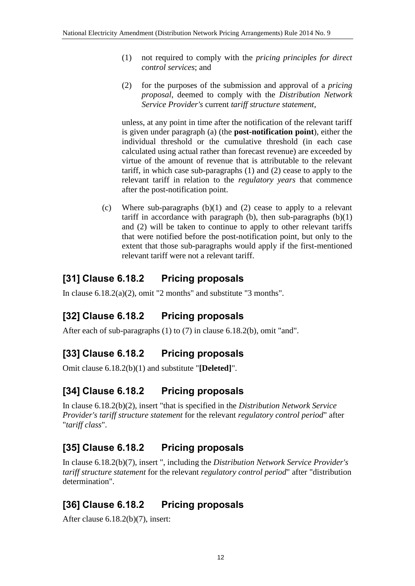- (1) not required to comply with the *pricing principles for direct control services*; and
- (2) for the purposes of the submission and approval of a *pricing proposal*, deemed to comply with the *Distribution Network Service Provider's* current *tariff structure statement*,

unless, at any point in time after the notification of the relevant tariff is given under paragraph (a) (the **post-notification point**), either the individual threshold or the cumulative threshold (in each case calculated using actual rather than forecast revenue) are exceeded by virtue of the amount of revenue that is attributable to the relevant tariff, in which case sub-paragraphs (1) and (2) cease to apply to the relevant tariff in relation to the *regulatory years* that commence after the post-notification point.

(c) Where sub-paragraphs (b)(1) and (2) cease to apply to a relevant tariff in accordance with paragraph (b), then sub-paragraphs  $(b)(1)$ and (2) will be taken to continue to apply to other relevant tariffs that were notified before the post-notification point, but only to the extent that those sub-paragraphs would apply if the first-mentioned relevant tariff were not a relevant tariff.

## **[31] Clause 6.18.2 Pricing proposals**

In clause 6.18.2(a)(2), omit "2 months" and substitute "3 months".

# **[32] Clause 6.18.2 Pricing proposals**

After each of sub-paragraphs (1) to (7) in clause 6.18.2(b), omit "and".

# **[33] Clause 6.18.2 Pricing proposals**

Omit clause 6.18.2(b)(1) and substitute "**[Deleted]**".

# **[34] Clause 6.18.2 Pricing proposals**

In clause 6.18.2(b)(2), insert "that is specified in the *Distribution Network Service Provider's tariff structure statement* for the relevant *regulatory control period*" after "*tariff class*".

# **[35] Clause 6.18.2 Pricing proposals**

In clause 6.18.2(b)(7), insert ", including the *Distribution Network Service Provider's tariff structure statement* for the relevant *regulatory control period*" after "distribution determination".

# **[36] Clause 6.18.2 Pricing proposals**

After clause 6.18.2(b)(7), insert: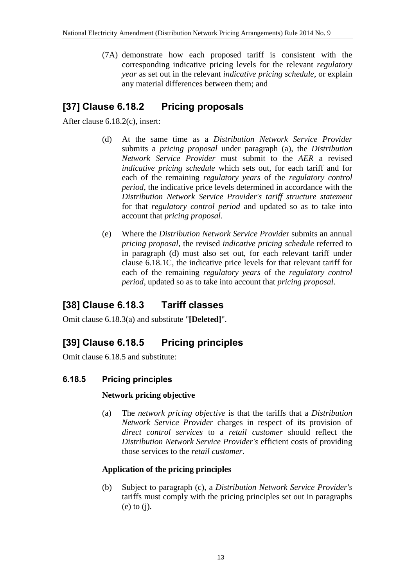(7A) demonstrate how each proposed tariff is consistent with the corresponding indicative pricing levels for the relevant *regulatory year* as set out in the relevant *indicative pricing schedule*, or explain any material differences between them; and

## **[37] Clause 6.18.2 Pricing proposals**

After clause 6.18.2(c), insert:

- (d) At the same time as a *Distribution Network Service Provider* submits a *pricing proposal* under paragraph (a), the *Distribution Network Service Provider* must submit to the *AER* a revised *indicative pricing schedule* which sets out, for each tariff and for each of the remaining *regulatory years* of the *regulatory control period*, the indicative price levels determined in accordance with the *Distribution Network Service Provider's tariff structure statement* for that *regulatory control period* and updated so as to take into account that *pricing proposal*.
- (e) Where the *Distribution Network Service Provide*r submits an annual *pricing proposal*, the revised *indicative pricing schedule* referred to in paragraph (d) must also set out, for each relevant tariff under clause 6.18.1C, the indicative price levels for that relevant tariff for each of the remaining *regulatory years* of the *regulatory control period*, updated so as to take into account that *pricing proposal*.

## **[38] Clause 6.18.3 Tariff classes**

Omit clause 6.18.3(a) and substitute "**[Deleted]**".

# **[39] Clause 6.18.5 Pricing principles**

Omit clause 6.18.5 and substitute:

### **6.18.5 Pricing principles**

#### **Network pricing objective**

(a) The *network pricing objective* is that the tariffs that a *Distribution Network Service Provider* charges in respect of its provision of *direct control services* to a *retail customer* should reflect the *Distribution Network Service Provider's* efficient costs of providing those services to the *retail customer*.

#### **Application of the pricing principles**

(b) Subject to paragraph (c), a *Distribution Network Service Provider's* tariffs must comply with the pricing principles set out in paragraphs (e) to (j).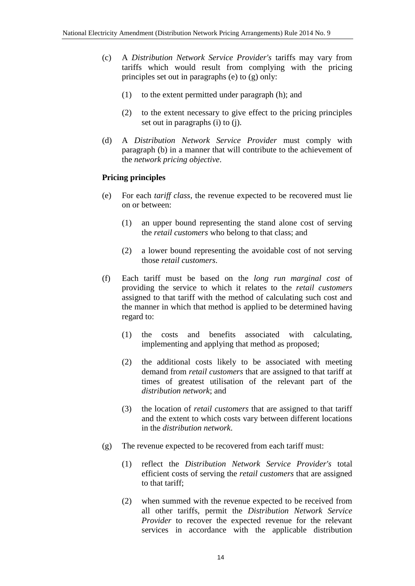- (c) A *Distribution Network Service Provider's* tariffs may vary from tariffs which would result from complying with the pricing principles set out in paragraphs (e) to (g) only:
	- (1) to the extent permitted under paragraph (h); and
	- (2) to the extent necessary to give effect to the pricing principles set out in paragraphs (i) to (j).
- (d) A *Distribution Network Service Provider* must comply with paragraph (b) in a manner that will contribute to the achievement of the *network pricing objective*.

#### **Pricing principles**

- (e) For each *tariff class*, the revenue expected to be recovered must lie on or between:
	- (1) an upper bound representing the stand alone cost of serving the *retail customers* who belong to that class; and
	- (2) a lower bound representing the avoidable cost of not serving those *retail customers*.
- (f) Each tariff must be based on the *long run marginal cost* of providing the service to which it relates to the *retail customers* assigned to that tariff with the method of calculating such cost and the manner in which that method is applied to be determined having regard to:
	- (1) the costs and benefits associated with calculating, implementing and applying that method as proposed;
	- (2) the additional costs likely to be associated with meeting demand from *retail customers* that are assigned to that tariff at times of greatest utilisation of the relevant part of the *distribution network*; and
	- (3) the location of *retail customers* that are assigned to that tariff and the extent to which costs vary between different locations in the *distribution network*.
- (g) The revenue expected to be recovered from each tariff must:
	- (1) reflect the *Distribution Network Service Provider's* total efficient costs of serving the *retail customers* that are assigned to that tariff;
	- (2) when summed with the revenue expected to be received from all other tariffs, permit the *Distribution Network Service Provider* to recover the expected revenue for the relevant services in accordance with the applicable distribution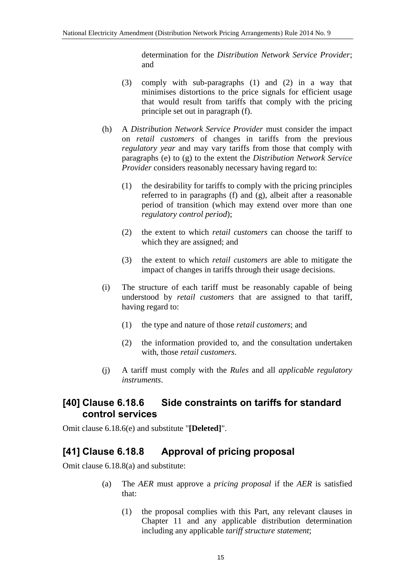determination for the *Distribution Network Service Provider*; and

- (3) comply with sub-paragraphs (1) and (2) in a way that minimises distortions to the price signals for efficient usage that would result from tariffs that comply with the pricing principle set out in paragraph (f).
- (h) A *Distribution Network Service Provider* must consider the impact on *retail customers* of changes in tariffs from the previous *regulatory year* and may vary tariffs from those that comply with paragraphs (e) to (g) to the extent the *Distribution Network Service Provider* considers reasonably necessary having regard to:
	- (1) the desirability for tariffs to comply with the pricing principles referred to in paragraphs (f) and (g), albeit after a reasonable period of transition (which may extend over more than one *regulatory control period*);
	- (2) the extent to which *retail customers* can choose the tariff to which they are assigned; and
	- (3) the extent to which *retail customers* are able to mitigate the impact of changes in tariffs through their usage decisions.
- (i) The structure of each tariff must be reasonably capable of being understood by *retail customers* that are assigned to that tariff, having regard to:
	- (1) the type and nature of those *retail customers*; and
	- (2) the information provided to, and the consultation undertaken with, those *retail customers*.
- (j) A tariff must comply with the *Rules* and all *applicable regulatory instruments*.

## **[40] Clause 6.18.6 Side constraints on tariffs for standard control services**

Omit clause 6.18.6(e) and substitute "**[Deleted]**".

## **[41] Clause 6.18.8 Approval of pricing proposal**

Omit clause 6.18.8(a) and substitute:

- (a) The *AER* must approve a *pricing proposal* if the *AER* is satisfied that:
	- (1) the proposal complies with this Part, any relevant clauses in Chapter 11 and any applicable distribution determination including any applicable *tariff structure statement*;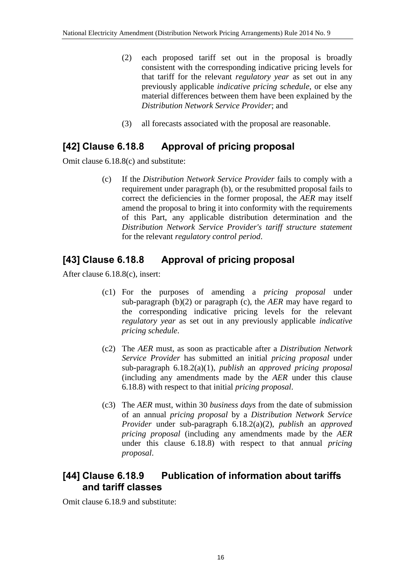- (2) each proposed tariff set out in the proposal is broadly consistent with the corresponding indicative pricing levels for that tariff for the relevant *regulatory year* as set out in any previously applicable *indicative pricing schedule*, or else any material differences between them have been explained by the *Distribution Network Service Provider*; and
- (3) all forecasts associated with the proposal are reasonable.

## **[42] Clause 6.18.8 Approval of pricing proposal**

Omit clause 6.18.8(c) and substitute:

(c) If the *Distribution Network Service Provider* fails to comply with a requirement under paragraph (b), or the resubmitted proposal fails to correct the deficiencies in the former proposal, the *AER* may itself amend the proposal to bring it into conformity with the requirements of this Part, any applicable distribution determination and the *Distribution Network Service Provider's tariff structure statement* for the relevant *regulatory control period*.

## **[43] Clause 6.18.8 Approval of pricing proposal**

After clause 6.18.8(c), insert:

- (c1) For the purposes of amending a *pricing proposal* under sub-paragraph (b)(2) or paragraph (c), the *AER* may have regard to the corresponding indicative pricing levels for the relevant *regulatory year* as set out in any previously applicable *indicative pricing schedule*.
- (c2) The *AER* must, as soon as practicable after a *Distribution Network Service Provider* has submitted an initial *pricing proposal* under sub-paragraph 6.18.2(a)(1), *publish* an *approved pricing proposal* (including any amendments made by the *AER* under this clause 6.18.8) with respect to that initial *pricing proposal*.
- (c3) The *AER* must, within 30 *business days* from the date of submission of an annual *pricing proposal* by a *Distribution Network Service Provider* under sub-paragraph 6.18.2(a)(2), *publish* an *approved pricing proposal* (including any amendments made by the *AER* under this clause 6.18.8) with respect to that annual *pricing proposal*.

## **[44] Clause 6.18.9 Publication of information about tariffs and tariff classes**

Omit clause 6.18.9 and substitute: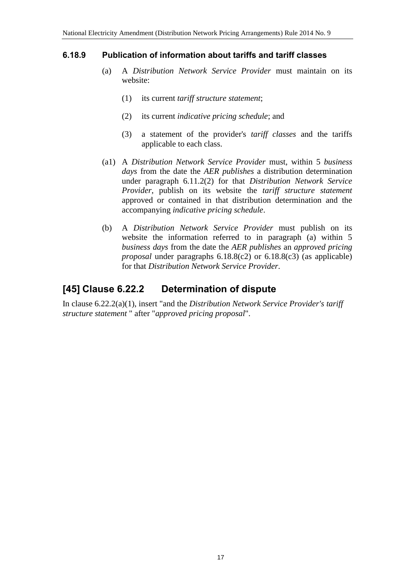#### **6.18.9 Publication of information about tariffs and tariff classes**

- (a) A *Distribution Network Service Provider* must maintain on its website:
	- (1) its current *tariff structure statement*;
	- (2) its current *indicative pricing schedule*; and
	- (3) a statement of the provider's *tariff classes* and the tariffs applicable to each class.
- (a1) A *Distribution Network Service Provider* must, within 5 *business days* from the date the *AER publishes* a distribution determination under paragraph 6.11.2(2) for that *Distribution Network Service Provider*, publish on its website the *tariff structure statement* approved or contained in that distribution determination and the accompanying *indicative pricing schedule*.
- (b) A *Distribution Network Service Provider* must publish on its website the information referred to in paragraph (a) within 5 *business days* from the date the *AER publishes* an *approved pricing proposal* under paragraphs 6.18.8(c2) or 6.18.8(c3) (as applicable) for that *Distribution Network Service Provider*.

### **[45] Clause 6.22.2 Determination of dispute**

In clause 6.22.2(a)(1), insert "and the *Distribution Network Service Provider's tariff structure statement* " after "*approved pricing proposal*".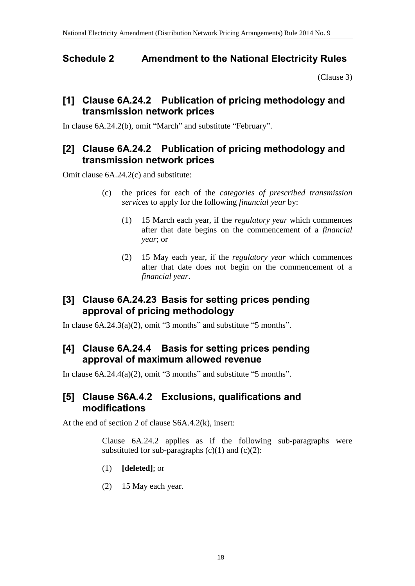## <span id="page-17-0"></span>**Schedule 2 Amendment to the National Electricity Rules**

[\(Clause 3\)](#page-1-0)

### **[1] Clause 6A.24.2 Publication of pricing methodology and transmission network prices**

In clause 6A.24.2(b), omit "March" and substitute "February".

### **[2] Clause 6A.24.2 Publication of pricing methodology and transmission network prices**

Omit clause 6A.24.2(c) and substitute:

- (c) the prices for each of the *categories of prescribed transmission services* to apply for the following *financial year* by:
	- (1) 15 March each year, if the *regulatory year* which commences after that date begins on the commencement of a *financial year*; or
	- (2) 15 May each year, if the *regulatory year* which commences after that date does not begin on the commencement of a *financial year*.

## **[3] Clause 6A.24.23 Basis for setting prices pending approval of pricing methodology**

In clause  $6A.24.3(a)(2)$ , omit "3 months" and substitute "5 months".

### **[4] Clause 6A.24.4 Basis for setting prices pending approval of maximum allowed revenue**

In clause  $6A.24.4(a)(2)$ , omit "3 months" and substitute "5 months".

### **[5] Clause S6A.4.2 Exclusions, qualifications and modifications**

At the end of section 2 of clause S6A.4.2(k), insert:

Clause 6A.24.2 applies as if the following sub-paragraphs were substituted for sub-paragraphs  $(c)(1)$  and  $(c)(2)$ :

- (1) **[deleted]**; or
- (2) 15 May each year.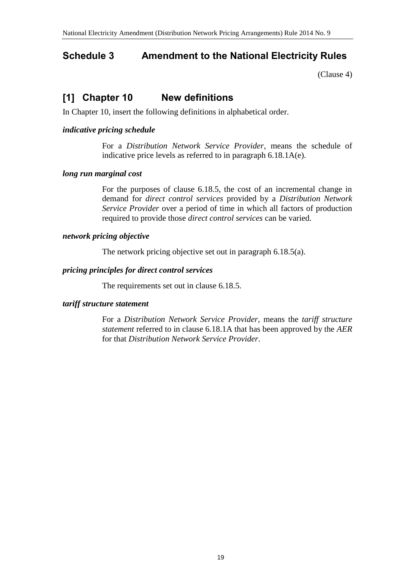## <span id="page-18-0"></span>**Schedule 3 Amendment to the National Electricity Rules**

[\(Clause 4\)](#page-1-1)

# **[1] Chapter 10 New definitions**

In Chapter 10, insert the following definitions in alphabetical order.

#### *indicative pricing schedule*

For a *Distribution Network Service Provider*, means the schedule of indicative price levels as referred to in paragraph 6.18.1A(e).

#### *long run marginal cost*

For the purposes of clause 6.18.5, the cost of an incremental change in demand for *direct control services* provided by a *Distribution Network Service Provider* over a period of time in which all factors of production required to provide those *direct control services* can be varied.

#### *network pricing objective*

The network pricing objective set out in paragraph 6.18.5(a).

#### *pricing principles for direct control services*

The requirements set out in clause 6.18.5.

#### *tariff structure statement*

For a *Distribution Network Service Provider*, means the *tariff structure statement* referred to in clause 6.18.1A that has been approved by the *AER* for that *Distribution Network Service Provider*.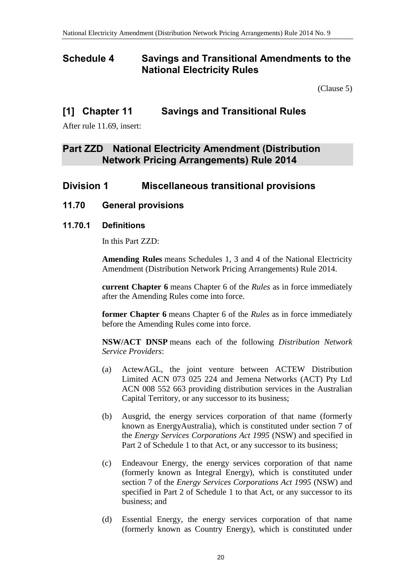### **Schedule 4 Savings and Transitional Amendments to the National Electricity Rules**

[\(Clause 5\)](#page-1-2)

### **[1] Chapter 11 Savings and Transitional Rules**

After rule 11.69, insert:

### **Part ZZD National Electricity Amendment (Distribution Network Pricing Arrangements) Rule 2014**

### **Division 1 Miscellaneous transitional provisions**

### **11.70 General provisions**

#### **11.70.1 Definitions**

In this Part ZZD:

**Amending Rules** means Schedules 1, 3 and 4 of the National Electricity Amendment (Distribution Network Pricing Arrangements) Rule 2014.

**current Chapter 6** means Chapter 6 of the *Rules* as in force immediately after the Amending Rules come into force.

**former Chapter 6** means Chapter 6 of the *Rules* as in force immediately before the Amending Rules come into force.

**NSW/ACT DNSP** means each of the following *Distribution Network Service Providers*:

- (a) ActewAGL, the joint venture between ACTEW Distribution Limited ACN 073 025 224 and Jemena Networks (ACT) Pty Ltd ACN 008 552 663 providing distribution services in the Australian Capital Territory, or any successor to its business;
- (b) Ausgrid, the energy services corporation of that name (formerly known as EnergyAustralia), which is constituted under section 7 of the *Energy Services Corporations Act 1995* (NSW) and specified in Part 2 of Schedule 1 to that Act, or any successor to its business;
- (c) Endeavour Energy, the energy services corporation of that name (formerly known as Integral Energy), which is constituted under section 7 of the *Energy Services Corporations Act 1995* (NSW) and specified in Part 2 of Schedule 1 to that Act, or any successor to its business; and
- (d) Essential Energy, the energy services corporation of that name (formerly known as Country Energy), which is constituted under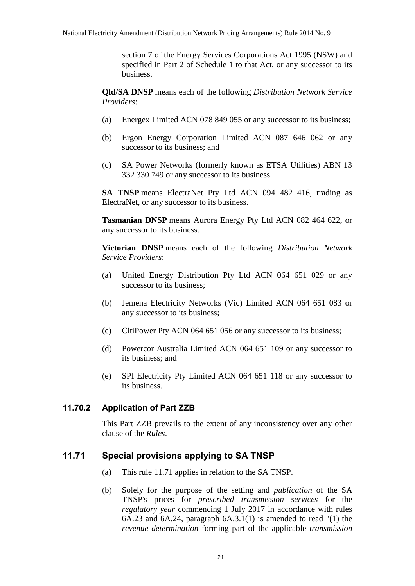section 7 of the Energy Services Corporations Act 1995 (NSW) and specified in Part 2 of Schedule 1 to that Act, or any successor to its business.

**Qld/SA DNSP** means each of the following *Distribution Network Service Providers*:

- (a) Energex Limited ACN 078 849 055 or any successor to its business;
- (b) Ergon Energy Corporation Limited ACN 087 646 062 or any successor to its business; and
- (c) SA Power Networks (formerly known as ETSA Utilities) ABN 13 332 330 749 or any successor to its business.

**SA TNSP** means ElectraNet Pty Ltd ACN 094 482 416, trading as ElectraNet, or any successor to its business.

**Tasmanian DNSP** means Aurora Energy Pty Ltd ACN 082 464 622, or any successor to its business.

**Victorian DNSP** means each of the following *Distribution Network Service Providers*:

- (a) United Energy Distribution Pty Ltd ACN 064 651 029 or any successor to its business;
- (b) Jemena Electricity Networks (Vic) Limited ACN 064 651 083 or any successor to its business;
- (c) CitiPower Pty ACN 064 651 056 or any successor to its business;
- (d) Powercor Australia Limited ACN 064 651 109 or any successor to its business; and
- (e) SPI Electricity Pty Limited ACN 064 651 118 or any successor to its business.

#### **11.70.2 Application of Part ZZB**

This Part ZZB prevails to the extent of any inconsistency over any other clause of the *Rules*.

### **11.71 Special provisions applying to SA TNSP**

- (a) This rule 11.71 applies in relation to the SA TNSP.
- (b) Solely for the purpose of the setting and *publication* of the SA TNSP's prices for *prescribed transmission services* for the *regulatory year* commencing 1 July 2017 in accordance with rules 6A.23 and 6A.24, paragraph 6A.3.1(1) is amended to read "(1) the *revenue determination* forming part of the applicable *transmission*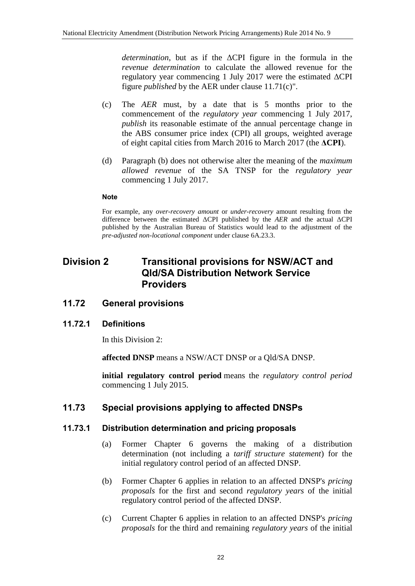*determination*, but as if the ΔCPI figure in the formula in the *revenue determination* to calculate the allowed revenue for the regulatory year commencing 1 July 2017 were the estimated ΔCPI figure *published* by the AER under clause 11.71(c)".

- (c) The *AER* must, by a date that is 5 months prior to the commencement of the *regulatory year* commencing 1 July 2017, *publish* its reasonable estimate of the annual percentage change in the ABS consumer price index (CPI) all groups, weighted average of eight capital cities from March 2016 to March 2017 (the **ΔCPI**).
- (d) Paragraph (b) does not otherwise alter the meaning of the *maximum allowed revenue* of the SA TNSP for the *regulatory year* commencing 1 July 2017.

#### **Note**

For example, any *over-recovery amount* or *under-recovery* amount resulting from the difference between the estimated ΔCPI published by the *AER* and the actual ΔCPI published by the Australian Bureau of Statistics would lead to the adjustment of the *pre-adjusted non-locational component* under clause 6A.23.3.

### **Division 2 Transitional provisions for NSW/ACT and Qld/SA Distribution Network Service Providers**

#### **11.72 General provisions**

#### **11.72.1 Definitions**

In this Division 2:

**affected DNSP** means a NSW/ACT DNSP or a Qld/SA DNSP.

**initial regulatory control period** means the *regulatory control period* commencing 1 July 2015.

### **11.73 Special provisions applying to affected DNSPs**

#### **11.73.1 Distribution determination and pricing proposals**

- (a) Former Chapter 6 governs the making of a distribution determination (not including a *tariff structure statement*) for the initial regulatory control period of an affected DNSP.
- (b) Former Chapter 6 applies in relation to an affected DNSP's *pricing proposals* for the first and second *regulatory years* of the initial regulatory control period of the affected DNSP.
- (c) Current Chapter 6 applies in relation to an affected DNSP's *pricing proposals* for the third and remaining *regulatory years* of the initial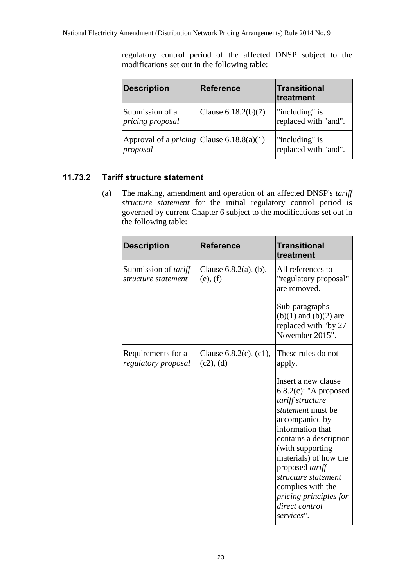regulatory control period of the affected DNSP subject to the modifications set out in the following table:

| <b>Description</b>                                             | <b>Reference</b>      | <b>Transitional</b><br>treatment       |
|----------------------------------------------------------------|-----------------------|----------------------------------------|
| Submission of a<br>pricing proposal                            | Clause $6.18.2(b)(7)$ | "including" is<br>replaced with "and". |
| Approval of a <i>pricing</i> Clause $6.18.8(a)(1)$<br>proposal |                       | "including" is<br>replaced with "and". |

### **11.73.2 Tariff structure statement**

(a) The making, amendment and operation of an affected DNSP's *tariff structure statement* for the initial regulatory control period is governed by current Chapter 6 subject to the modifications set out in the following table:

| <b>Description</b>                                 | <b>Reference</b>                          | <b>Transitional</b><br>treatment                                                                                                                                                                                                                                                                                                      |
|----------------------------------------------------|-------------------------------------------|---------------------------------------------------------------------------------------------------------------------------------------------------------------------------------------------------------------------------------------------------------------------------------------------------------------------------------------|
| Submission of <i>tariff</i><br>structure statement | Clause $6.8.2(a)$ , (b),<br>(e), (f)      | All references to<br>"regulatory proposal"<br>are removed.                                                                                                                                                                                                                                                                            |
|                                                    |                                           | Sub-paragraphs<br>$(b)(1)$ and $(b)(2)$ are<br>replaced with "by 27<br>November 2015".                                                                                                                                                                                                                                                |
| Requirements for a<br>regulatory proposal          | Clause $6.8.2(c)$ , $(c1)$ ,<br>(c2), (d) | These rules do not<br>apply.                                                                                                                                                                                                                                                                                                          |
|                                                    |                                           | Insert a new clause<br>$6.8.2(c)$ : "A proposed<br>tariff structure<br><i>statement</i> must be<br>accompanied by<br>information that<br>contains a description<br>(with supporting<br>materials) of how the<br>proposed tariff<br>structure statement<br>complies with the<br>pricing principles for<br>direct control<br>services". |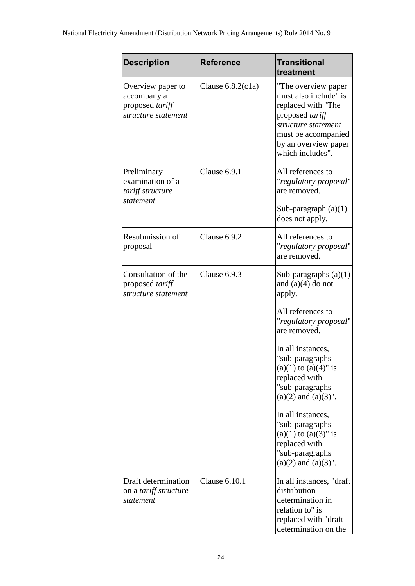| <b>Description</b>                                                                | <b>Reference</b>     | <b>Transitional</b><br>treatment                                                                                                                                                |
|-----------------------------------------------------------------------------------|----------------------|---------------------------------------------------------------------------------------------------------------------------------------------------------------------------------|
| Overview paper to<br>accompany a<br>proposed <i>tariff</i><br>structure statement | Clause $6.8.2$ (c1a) | "The overview paper<br>must also include" is<br>replaced with "The<br>proposed tariff<br>structure statement<br>must be accompanied<br>by an overview paper<br>which includes". |
| Preliminary<br>examination of a<br>tariff structure<br>statement                  | Clause 6.9.1         | All references to<br>"regulatory proposal"<br>are removed.<br>Sub-paragraph $(a)(1)$<br>does not apply.                                                                         |
| Resubmission of<br>proposal                                                       | Clause 6.9.2         | All references to<br>"regulatory proposal"<br>are removed.                                                                                                                      |
| Consultation of the<br>proposed tariff<br>structure statement                     | Clause 6.9.3         | Sub-paragraphs $(a)(1)$<br>and $(a)(4)$ do not<br>apply.<br>All references to                                                                                                   |
|                                                                                   |                      | "regulatory proposal"<br>are removed.                                                                                                                                           |
|                                                                                   |                      | In all instances,<br>"sub-paragraphs<br>$(a)(1)$ to $(a)(4)$ " is<br>replaced with<br>"sub-paragraphs<br>$(a)(2)$ and $(a)(3)$ ".                                               |
|                                                                                   |                      | In all instances,<br>"sub-paragraphs<br>$(a)(1)$ to $(a)(3)$ " is<br>replaced with<br>"sub-paragraphs<br>$(a)(2)$ and $(a)(3)$ ".                                               |
| Draft determination<br>on a tariff structure<br>statement                         | Clause 6.10.1        | In all instances, "draft<br>distribution<br>determination in<br>relation to" is<br>replaced with "draft"<br>determination on the                                                |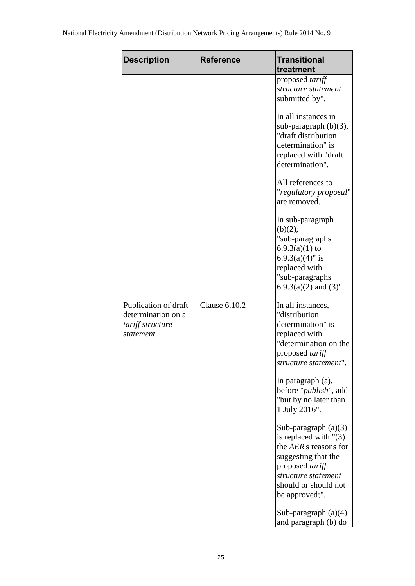| <b>Description</b>                                                          | <b>Reference</b> | <b>Transitional</b><br>treatment                                                                                                                                                    |
|-----------------------------------------------------------------------------|------------------|-------------------------------------------------------------------------------------------------------------------------------------------------------------------------------------|
|                                                                             |                  | proposed <i>tariff</i><br>structure statement<br>submitted by".                                                                                                                     |
|                                                                             |                  | In all instances in<br>sub-paragraph $(b)(3)$ ,<br>"draft distribution<br>determination" is<br>replaced with "draft<br>determination".                                              |
|                                                                             |                  | All references to<br>"regulatory proposal"<br>are removed.                                                                                                                          |
|                                                                             |                  | In sub-paragraph<br>(b)(2),<br>"sub-paragraphs<br>$6.9.3(a)(1)$ to<br>$6.9.3(a)(4)$ " is<br>replaced with<br>"sub-paragraphs<br>$6.9.3(a)(2)$ and $(3)$ ".                          |
| Publication of draft<br>determination on a<br>tariff structure<br>statement | Clause 6.10.2    | In all instances,<br>"distribution<br>determination" is<br>replaced with<br>"determination on the<br>proposed <i>tariff</i><br>structure statement".                                |
|                                                                             |                  | In paragraph (a),<br>before " <i>publish</i> ", add<br>"but by no later than<br>1 July 2016".                                                                                       |
|                                                                             |                  | Sub-paragraph (a)(3)<br>is replaced with $"(3)$<br>the AER's reasons for<br>suggesting that the<br>proposed tariff<br>structure statement<br>should or should not<br>be approved;". |
|                                                                             |                  | Sub-paragraph $(a)(4)$<br>and paragraph (b) do                                                                                                                                      |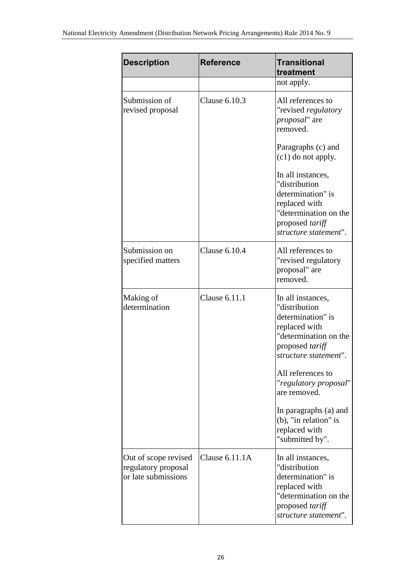| <b>Description</b>                                                 | <b>Reference</b>     | <b>Transitional</b><br>treatment                                                                                                                     |
|--------------------------------------------------------------------|----------------------|------------------------------------------------------------------------------------------------------------------------------------------------------|
|                                                                    |                      | not apply.                                                                                                                                           |
| Submission of<br>revised proposal                                  | Clause 6.10.3        | All references to<br>"revised regulatory<br><i>proposal</i> " are<br>removed.                                                                        |
|                                                                    |                      | Paragraphs (c) and<br>(c1) do not apply.                                                                                                             |
|                                                                    |                      | In all instances,<br>"distribution<br>determination" is<br>replaced with<br>"determination on the<br>proposed tariff<br>structure statement".        |
| Submission on<br>specified matters                                 | <b>Clause 6.10.4</b> | All references to<br>"revised regulatory<br>proposal" are<br>removed.                                                                                |
| Making of<br>determination                                         | Clause 6.11.1        | In all instances,<br>"distribution<br>determination" is<br>replaced with<br>"determination on the<br>proposed <i>tariff</i><br>structure statement". |
|                                                                    |                      | All references to<br>"regulatory proposal"<br>are removed.                                                                                           |
|                                                                    |                      | In paragraphs (a) and<br>$(b)$ , "in relation" is<br>replaced with<br>"submitted by".                                                                |
| Out of scope revised<br>regulatory proposal<br>or late submissions | Clause $6.11.1A$     | In all instances,<br>"distribution<br>determination" is<br>replaced with<br>"determination on the<br>proposed tariff<br>structure statement".        |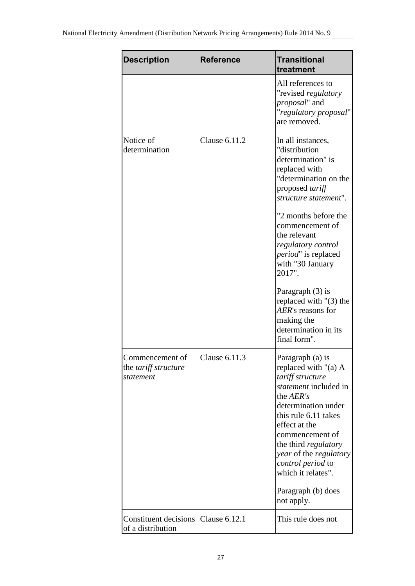| <b>Description</b>                                          | <b>Reference</b> | <b>Transitional</b><br>treatment                                                                                                                                                                                                                                                                                                           |
|-------------------------------------------------------------|------------------|--------------------------------------------------------------------------------------------------------------------------------------------------------------------------------------------------------------------------------------------------------------------------------------------------------------------------------------------|
|                                                             |                  | All references to<br>"revised regulatory<br>proposal" and<br>"regulatory proposal"<br>are removed.                                                                                                                                                                                                                                         |
| Notice of<br>determination                                  | Clause 6.11.2    | In all instances,<br>"distribution<br>determination" is<br>replaced with<br>"determination on the<br>proposed tariff<br>structure statement".<br>"2 months before the<br>commencement of<br>the relevant<br>regulatory control<br><i>period"</i> is replaced<br>with "30 January<br>2017".<br>Paragraph (3) is<br>replaced with $"(3)$ the |
|                                                             |                  | AER's reasons for<br>making the<br>determination in its<br>final form".                                                                                                                                                                                                                                                                    |
| Commencement of<br>the <i>tariff</i> structure<br>statement | Clause 6.11.3    | Paragraph (a) is<br>replaced with "(a) A<br>tariff structure<br>statement included in<br>the AER's<br>determination under<br>this rule 6.11 takes<br>effect at the<br>commencement of<br>the third <i>regulatory</i><br>year of the regulatory<br>control period to<br>which it relates".<br>Paragraph (b) does                            |
|                                                             |                  | not apply.                                                                                                                                                                                                                                                                                                                                 |
| Constituent decisions<br>of a distribution                  | Clause 6.12.1    | This rule does not                                                                                                                                                                                                                                                                                                                         |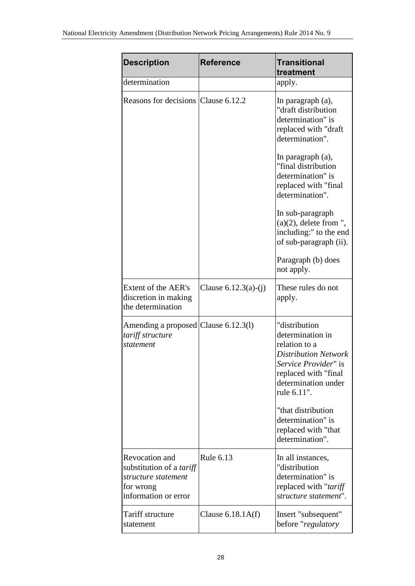| <b>Description</b>                                                                                            | <b>Reference</b>       | <b>Transitional</b><br>treatment                                                                                                                                                                                                                                                                                                                              |
|---------------------------------------------------------------------------------------------------------------|------------------------|---------------------------------------------------------------------------------------------------------------------------------------------------------------------------------------------------------------------------------------------------------------------------------------------------------------------------------------------------------------|
| determination                                                                                                 |                        | apply.                                                                                                                                                                                                                                                                                                                                                        |
| Reasons for decisions Clause 6.12.2                                                                           |                        | In paragraph (a),<br>"draft distribution<br>determination" is<br>replaced with "draft<br>determination".<br>In paragraph (a),<br>"final distribution<br>determination" is<br>replaced with "final<br>determination".<br>In sub-paragraph<br>$(a)(2)$ , delete from ",<br>including:" to the end<br>of sub-paragraph (ii).<br>Paragraph (b) does<br>not apply. |
| Extent of the AER's<br>discretion in making<br>the determination                                              | Clause $6.12.3(a)-(i)$ | These rules do not<br>apply.                                                                                                                                                                                                                                                                                                                                  |
| Amending a proposed Clause 6.12.3(1)<br>tariff structure<br>statement                                         |                        | "distribution<br>determination in<br>relation to a<br><b>Distribution Network</b><br>Service Provider" is<br>replaced with "final"<br>determination under<br>rule 6.11".<br>"that distribution<br>determination" is<br>replaced with "that<br>determination".                                                                                                 |
| Revocation and<br>substitution of a <i>tariff</i><br>structure statement<br>for wrong<br>information or error | Rule 6.13              | In all instances,<br>"distribution<br>determination" is<br>replaced with "tariff"<br>structure statement".                                                                                                                                                                                                                                                    |
| Tariff structure<br>statement                                                                                 | Clause $6.18.1A(f)$    | Insert "subsequent"<br>before "regulatory                                                                                                                                                                                                                                                                                                                     |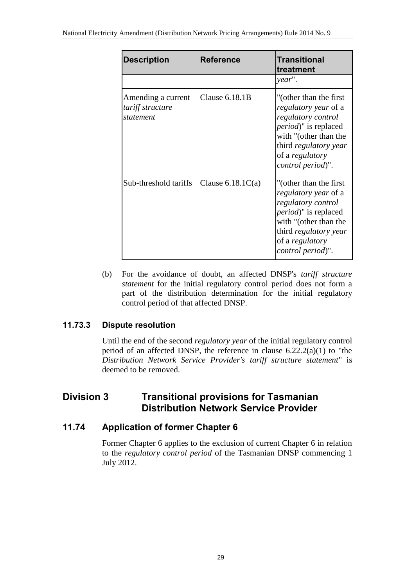| <b>Description</b>                                  | <b>Reference</b>    | <b>Transitional</b><br>treatment                                                                                                                                                                              |
|-----------------------------------------------------|---------------------|---------------------------------------------------------------------------------------------------------------------------------------------------------------------------------------------------------------|
|                                                     |                     | year".                                                                                                                                                                                                        |
| Amending a current<br>tariff structure<br>statement | Clause $6.18.1B$    | "(other than the first)"<br>regulatory year of a<br>regulatory control<br><i>period</i> )" is replaced<br>with "(other than the<br>third <i>regulatory</i> year<br>of a regulatory<br>control period)".       |
| Sub-threshold tariffs                               | Clause $6.18.1C(a)$ | "(other than the first)<br><i>regulatory year of a</i><br>regulatory control<br><i>period</i> )" is replaced<br>with "(other than the<br>third <i>regulatory</i> year<br>of a regulatory<br>control period)". |

(b) For the avoidance of doubt, an affected DNSP's *tariff structure statement* for the initial regulatory control period does not form a part of the distribution determination for the initial regulatory control period of that affected DNSP.

### **11.73.3 Dispute resolution**

Until the end of the second *regulatory year* of the initial regulatory control period of an affected DNSP, the reference in clause  $6.22.2(a)(1)$  to "the *Distribution Network Service Provider's tariff structure statement*" is deemed to be removed.

### **Division 3 Transitional provisions for Tasmanian Distribution Network Service Provider**

### **11.74 Application of former Chapter 6**

Former Chapter 6 applies to the exclusion of current Chapter 6 in relation to the *regulatory control period* of the Tasmanian DNSP commencing 1 July 2012.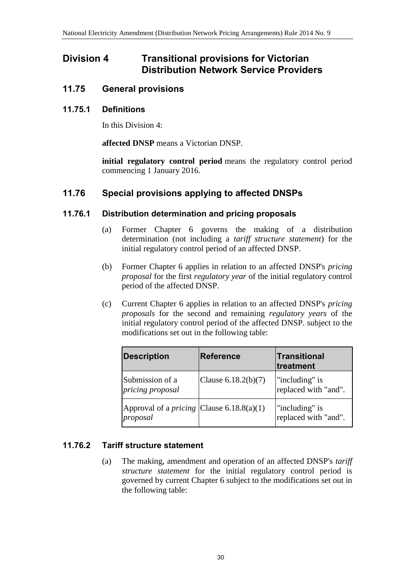### **Division 4 Transitional provisions for Victorian Distribution Network Service Providers**

### **11.75 General provisions**

#### **11.75.1 Definitions**

In this Division 4:

**affected DNSP** means a Victorian DNSP.

**initial regulatory control period** means the regulatory control period commencing 1 January 2016.

### **11.76 Special provisions applying to affected DNSPs**

#### **11.76.1 Distribution determination and pricing proposals**

- (a) Former Chapter 6 governs the making of a distribution determination (not including a *tariff structure statement*) for the initial regulatory control period of an affected DNSP.
- (b) Former Chapter 6 applies in relation to an affected DNSP's *pricing proposal* for the first *regulatory year* of the initial regulatory control period of the affected DNSP.
- (c) Current Chapter 6 applies in relation to an affected DNSP's *pricing proposals* for the second and remaining *regulatory years* of the initial regulatory control period of the affected DNSP. subject to the modifications set out in the following table:

| <b>Description</b>                                             | <b>Reference</b>      | Transitional<br>treatment              |
|----------------------------------------------------------------|-----------------------|----------------------------------------|
| Submission of a<br>pricing proposal                            | Clause $6.18.2(b)(7)$ | "including" is<br>replaced with "and". |
| Approval of a <i>pricing</i> Clause $6.18.8(a)(1)$<br>proposal |                       | "including" is<br>replaced with "and". |

### **11.76.2 Tariff structure statement**

(a) The making, amendment and operation of an affected DNSP's *tariff structure statement* for the initial regulatory control period is governed by current Chapter 6 subject to the modifications set out in the following table: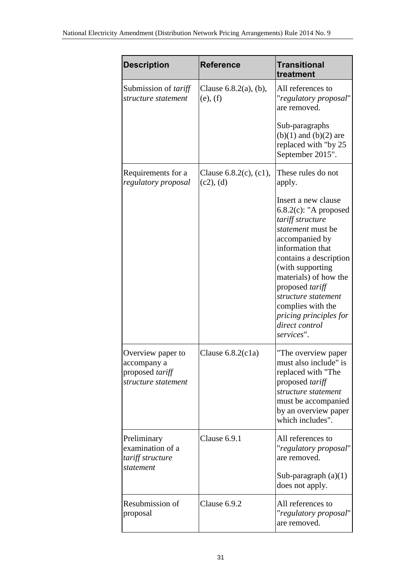| <b>Description</b>                                                         | <b>Reference</b>                          | Transitional<br>treatment                                                                                                                                                                                                                                                                                                      |
|----------------------------------------------------------------------------|-------------------------------------------|--------------------------------------------------------------------------------------------------------------------------------------------------------------------------------------------------------------------------------------------------------------------------------------------------------------------------------|
| Submission of <i>tariff</i><br>structure statement                         | Clause $6.8.2(a)$ , $(b)$ ,<br>(e), (f)   | All references to<br>"regulatory proposal"<br>are removed.                                                                                                                                                                                                                                                                     |
|                                                                            |                                           | Sub-paragraphs<br>$(b)(1)$ and $(b)(2)$ are<br>replaced with "by 25<br>September 2015".                                                                                                                                                                                                                                        |
| Requirements for a<br>regulatory proposal                                  | Clause $6.8.2(c)$ , $(c1)$ ,<br>(c2), (d) | These rules do not<br>apply.                                                                                                                                                                                                                                                                                                   |
|                                                                            |                                           | Insert a new clause<br>$6.8.2(c)$ : "A proposed<br>tariff structure<br>statement must be<br>accompanied by<br>information that<br>contains a description<br>(with supporting<br>materials) of how the<br>proposed tariff<br>structure statement<br>complies with the<br>pricing principles for<br>direct control<br>services". |
| Overview paper to<br>accompany a<br>proposed tariff<br>structure statement | Clause $6.8.2(c1a)$                       | "The overview paper<br>must also include" is<br>replaced with "The<br>proposed tariff<br>structure statement<br>must be accompanied<br>by an overview paper<br>which includes".                                                                                                                                                |
| Preliminary<br>examination of a<br>tariff structure<br>statement           | Clause 6.9.1                              | All references to<br>"regulatory proposal"<br>are removed.<br>Sub-paragraph $(a)(1)$<br>does not apply.                                                                                                                                                                                                                        |
| Resubmission of<br>proposal                                                | Clause 6.9.2                              | All references to<br>"regulatory proposal"<br>are removed.                                                                                                                                                                                                                                                                     |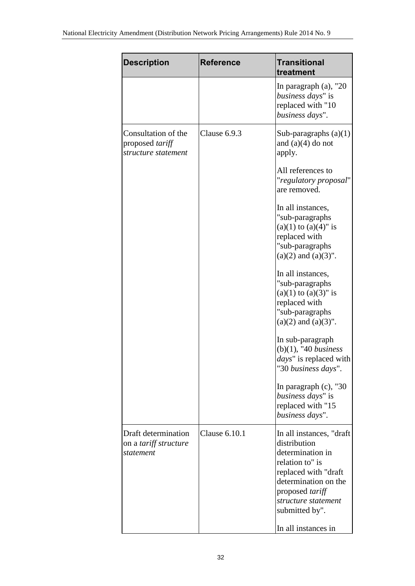| <b>Description</b>                                               | <b>Reference</b> | <b>Transitional</b><br>treatment                                                                                                                                                                                    |
|------------------------------------------------------------------|------------------|---------------------------------------------------------------------------------------------------------------------------------------------------------------------------------------------------------------------|
|                                                                  |                  | In paragraph $(a)$ , "20<br>business days" is<br>replaced with "10<br>business days".                                                                                                                               |
| Consultation of the<br>proposed tariff<br>structure statement    | Clause 6.9.3     | Sub-paragraphs $(a)(1)$<br>and $(a)(4)$ do not<br>apply.                                                                                                                                                            |
|                                                                  |                  | All references to<br>"regulatory proposal"<br>are removed.                                                                                                                                                          |
|                                                                  |                  | In all instances,<br>"sub-paragraphs"<br>$(a)(1)$ to $(a)(4)$ " is<br>replaced with<br>"sub-paragraphs"<br>$(a)(2)$ and $(a)(3)$ ".                                                                                 |
|                                                                  |                  | In all instances,<br>"sub-paragraphs"<br>$(a)(1)$ to $(a)(3)$ " is<br>replaced with<br>"sub-paragraphs<br>$(a)(2)$ and $(a)(3)$ ".                                                                                  |
|                                                                  |                  | In sub-paragraph<br>$(b)(1)$ , "40 business<br><i>days</i> " is replaced with<br>"30 business days".                                                                                                                |
|                                                                  |                  | In paragraph $(c)$ , "30<br>business days" is<br>replaced with "15<br>business days".                                                                                                                               |
| Draft determination<br>on a <i>tariff structure</i><br>statement | Clause 6.10.1    | In all instances, "draft"<br>distribution<br>determination in<br>relation to" is<br>replaced with "draft<br>determination on the<br>proposed tariff<br>structure statement<br>submitted by".<br>In all instances in |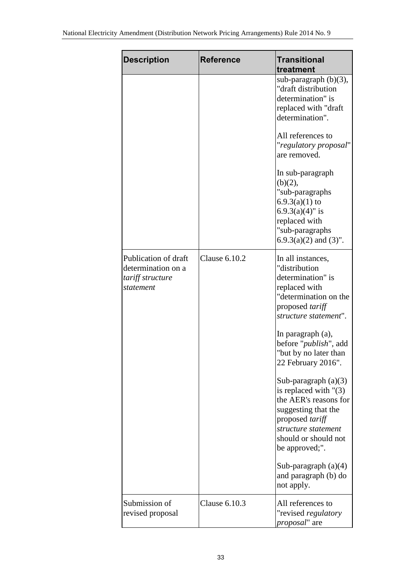| <b>Description</b>                                                          | <b>Reference</b>     | <b>Transitional</b><br>treatment                                                                                                                                                                                                      |
|-----------------------------------------------------------------------------|----------------------|---------------------------------------------------------------------------------------------------------------------------------------------------------------------------------------------------------------------------------------|
|                                                                             |                      | sub-paragraph (b)(3),<br>"draft distribution<br>determination" is<br>replaced with "draft<br>determination".<br>All references to<br>"regulatory proposal"                                                                            |
|                                                                             |                      | are removed.<br>In sub-paragraph<br>(b)(2),<br>"sub-paragraphs<br>$6.9.3(a)(1)$ to<br>$6.9.3(a)(4)$ " is<br>replaced with<br>"sub-paragraphs<br>$6.9.3(a)(2)$ and $(3)$ ".                                                            |
| Publication of draft<br>determination on a<br>tariff structure<br>statement | <b>Clause 6.10.2</b> | In all instances,<br>"distribution<br>determination" is<br>replaced with<br>"determination on the<br>proposed tariff<br>structure statement".<br>In paragraph (a),<br>before " <i>publish</i> ", add<br>"but by no later than         |
|                                                                             |                      | 22 February 2016".<br>Sub-paragraph $(a)(3)$<br>is replaced with $"(3)$<br>the AER's reasons for<br>suggesting that the<br>proposed tariff<br>structure statement<br>should or should not<br>be approved;".<br>Sub-paragraph $(a)(4)$ |
|                                                                             |                      | and paragraph (b) do<br>not apply.                                                                                                                                                                                                    |
| Submission of<br>revised proposal                                           | Clause 6.10.3        | All references to<br>"revised regulatory<br><i>proposal</i> " are                                                                                                                                                                     |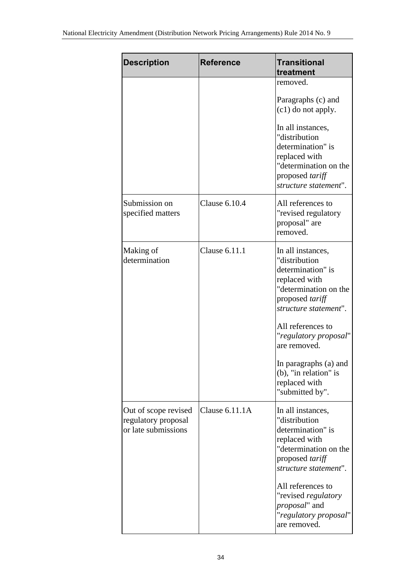| <b>Description</b>                                                 | <b>Reference</b> | <b>Transitional</b><br>treatment                                                                                                                                                                                                                                                                  |
|--------------------------------------------------------------------|------------------|---------------------------------------------------------------------------------------------------------------------------------------------------------------------------------------------------------------------------------------------------------------------------------------------------|
|                                                                    |                  | removed.                                                                                                                                                                                                                                                                                          |
|                                                                    |                  | Paragraphs (c) and<br>$(c1)$ do not apply.                                                                                                                                                                                                                                                        |
|                                                                    |                  | In all instances,<br>"distribution<br>determination" is<br>replaced with<br>"determination on the<br>proposed tariff<br>structure statement".                                                                                                                                                     |
| Submission on<br>specified matters                                 | Clause 6.10.4    | All references to<br>"revised regulatory<br>proposal" are<br>removed.                                                                                                                                                                                                                             |
| Making of<br>determination                                         | Clause 6.11.1    | In all instances,<br>"distribution<br>determination" is<br>replaced with<br>"determination on the<br>proposed tariff<br>structure statement".<br>All references to<br>"regulatory proposal"<br>are removed.<br>In paragraphs (a) and<br>(b), "in relation" is<br>replaced with<br>"submitted by". |
| Out of scope revised<br>regulatory proposal<br>or late submissions | Clause 6.11.1A   | In all instances,<br>"distribution<br>determination" is<br>replaced with<br>"determination on the<br>proposed tariff<br>structure statement".<br>All references to<br>"revised regulatory<br>proposal" and<br>"regulatory proposal"<br>are removed.                                               |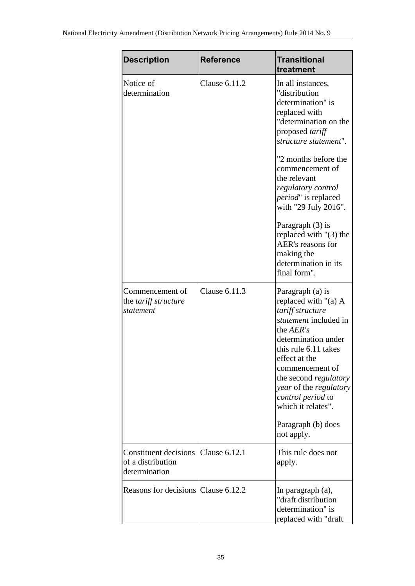| <b>Description</b>                                          | <b>Reference</b>     | <b>Transitional</b><br>treatment                                                                                                                                                                                                                                                                                                                                                                           |
|-------------------------------------------------------------|----------------------|------------------------------------------------------------------------------------------------------------------------------------------------------------------------------------------------------------------------------------------------------------------------------------------------------------------------------------------------------------------------------------------------------------|
| Notice of<br>determination                                  | Clause 6.11.2        | In all instances,<br>"distribution<br>determination" is<br>replaced with<br>"determination on the<br>proposed tariff<br>structure statement".<br>"2 months before the<br>commencement of<br>the relevant<br>regulatory control<br>period" is replaced<br>with "29 July 2016".<br>Paragraph $(3)$ is<br>replaced with $"(3)$ the<br>AER's reasons for<br>making the<br>determination in its<br>final form". |
| Commencement of<br>the tariff structure<br>statement        | Clause 6.11.3        | Paragraph (a) is<br>replaced with " $(a)$ A<br>tariff structure<br>statement included in<br>the AER's<br>determination under<br>this rule 6.11 takes<br>effect at the<br>commencement of<br>the second <i>regulatory</i><br>year of the regulatory<br>control period to<br>which it relates".<br>Paragraph (b) does<br>not apply.                                                                          |
| Constituent decisions<br>of a distribution<br>determination | <b>Clause 6.12.1</b> | This rule does not<br>apply.                                                                                                                                                                                                                                                                                                                                                                               |
| Reasons for decisions Clause 6.12.2                         |                      | In paragraph (a),<br>"draft distribution<br>determination" is<br>replaced with "draft                                                                                                                                                                                                                                                                                                                      |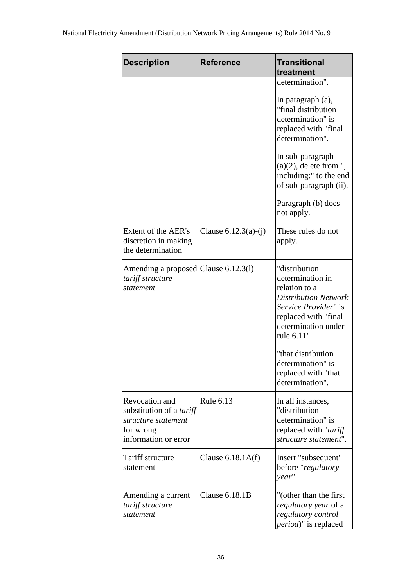| <b>Description</b>                                                                                            | <b>Reference</b>       | <b>Transitional</b><br>treatment                                                                                                                                                                                                                             |
|---------------------------------------------------------------------------------------------------------------|------------------------|--------------------------------------------------------------------------------------------------------------------------------------------------------------------------------------------------------------------------------------------------------------|
|                                                                                                               |                        | determination".                                                                                                                                                                                                                                              |
|                                                                                                               |                        | In paragraph (a),<br>"final distribution<br>determination" is<br>replaced with "final<br>determination".<br>In sub-paragraph                                                                                                                                 |
|                                                                                                               |                        | $(a)(2)$ , delete from ",<br>including:" to the end<br>of sub-paragraph (ii).                                                                                                                                                                                |
|                                                                                                               |                        | Paragraph (b) does<br>not apply.                                                                                                                                                                                                                             |
| Extent of the AER's<br>discretion in making<br>the determination                                              | Clause $6.12.3(a)-(i)$ | These rules do not<br>apply.                                                                                                                                                                                                                                 |
| Amending a proposed Clause 6.12.3(1)<br>tariff structure<br>statement                                         |                        | "distribution<br>determination in<br>relation to a<br><b>Distribution Network</b><br>Service Provider" is<br>replaced with "final<br>determination under<br>rule 6.11".<br>"that distribution<br>determination" is<br>replaced with "that<br>determination". |
| Revocation and<br>substitution of a <i>tariff</i><br>structure statement<br>for wrong<br>information or error | Rule 6.13              | In all instances,<br>"distribution<br>determination" is<br>replaced with "tariff"<br>structure statement".                                                                                                                                                   |
| Tariff structure<br>statement                                                                                 | Clause $6.18.1A(f)$    | Insert "subsequent"<br>before "regulatory<br>year".                                                                                                                                                                                                          |
| Amending a current<br>tariff structure<br>statement                                                           | <b>Clause 6.18.1B</b>  | "(other than the first<br><i>regulatory year</i> of a<br>regulatory control<br><i>period</i> )" is replaced                                                                                                                                                  |